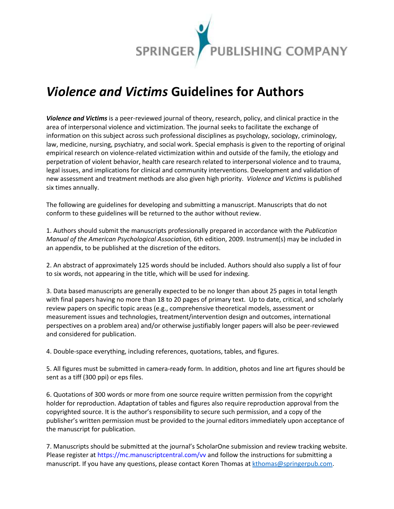

## *Violence and Victims* **Guidelines for Authors**

*Violence and Victims* is a peer-reviewed journal of theory, research, policy, and clinical practice in the area of interpersonal violence and victimization. The journal seeks to facilitate the exchange of information on this subject across such professional disciplines as psychology, sociology, criminology, law, medicine, nursing, psychiatry, and social work. Special emphasis is given to the reporting of original empirical research on violence-related victimization within and outside of the family, the etiology and perpetration of violent behavior, health care research related to interpersonal violence and to trauma, legal issues, and implications for clinical and community interventions. Development and validation of new assessment and treatment methods are also given high priority. *Violence and Victims* is published six times annually.

The following are guidelines for developing and submitting a manuscript. Manuscripts that do not conform to these guidelines will be returned to the author without review.

1. Authors should submit the manuscripts professionally prepared in accordance with the *Publication Manual of the American Psychological Association,* 6th edition, 2009. Instrument(s) may be included in an appendix, to be published at the discretion of the editors.

2. An abstract of approximately 125 words should be included. Authors should also supply a list of four to six words, not appearing in the title, which will be used for indexing.

3. Data based manuscripts are generally expected to be no longer than about 25 pages in total length with final papers having no more than 18 to 20 pages of primary text. Up to date, critical, and scholarly review papers on specific topic areas (e.g., comprehensive theoretical models, assessment or measurement issues and technologies, treatment/intervention design and outcomes, international perspectives on a problem area) and/or otherwise justifiably longer papers will also be peer-reviewed and considered for publication.

4. Double-space everything, including references, quotations, tables, and figures.

5. All figures must be submitted in camera-ready form. In addition, photos and line art figures should be sent as a tiff (300 ppi) or eps files.

6. Quotations of 300 words or more from one source require written permission from the copyright holder for reproduction. Adaptation of tables and figures also require reproduction approval from the copyrighted source. It is the author's responsibility to secure such permission, and a copy of the publisher's written permission must be provided to the journal editors immediately upon acceptance of the manuscript for publication.

7. Manuscripts should be submitted at the journal's ScholarOne submission and review tracking website. Please register at https://mc.manuscriptcentral.com/vv and follow the instructions for submitting a manuscript. If you have any questions, please contact Koren Thomas at [kthomas@springerpub.com.](mailto:kthomas@springerpub.com)